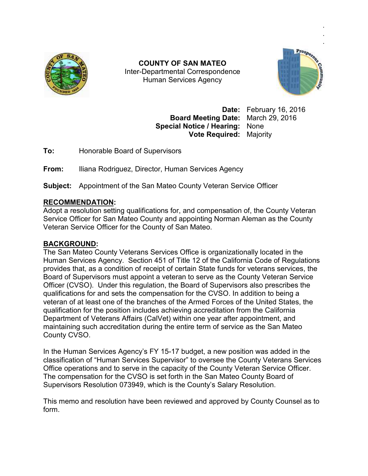

Inter Inter-Departmental Correspondence **COUNTY OF SAN MATEO**  Human Services Agency



**Date:** February 16, 2016 **Board Meeting Date:** March 29, 2016 **Special Notice / Hearing:** None **Vote Required:** Majority

**To:** Honorable Board of Supervisors

**From:** Iliana Rodriguez, Director, Human Services Agency

**Subject:** Appointment of the San Mateo County Veteran Service Officer

## **RECOMMENDATION:**

Adopt a resolution setting qualifications for, and compensation of, the County Veteran Service Officer for San Mateo County and appointing Norman Aleman as the County Veteran Service Officer for the County of San Mateo. To: Honorable Board of Supervisors<br>
From: Iliana Rodriguez, Director, Human Services Agency<br>
Subject: Appointment of the San Mateo County Veteran Service Officer<br>
RECOMMENDATION:<br>
Adopt a resolution setting qualifications

## **BACKGROUND:**

The San Mateo County Veterans Services Office is organizationally located in the Human Services Agency. Section 451 of Title 12 of the California Code of Regulations provides that, as a condition of receipt of certain State funds for veterans services, the Board of Supervisors must appoint a veteran to serve as the County Veteran Service provides that, as a condition of receipt of certain State funds for veterans services, th<br>Board of Supervisors must appoint a veteran to serve as the County Veteran Service<br>Officer (CVSO). Under this regulation, the Board qualifications for and sets the compensation for the CVSO. In addition to being a veteran of at least one of the branches of the Armed Forces of the United States, the qualification for the position includes achieving accreditation from the California Department of Veterans Affairs (CalVet) within one year after appointment, and maintaining such accreditation during the entire term of service as the San Mateo County CVSO. Department of Veterans Affairs (CalVet) within one year after appointment, and<br>maintaining such accreditation during the entire term of service as the San Mateo<br>County CVSO.<br>In the Human Services Agency's FY 15-17 budget, qualifications for and sets the compensation for the CVSO. In addition to being a<br>veteran of at least one of the branches of the Armed Forces of the United States<br>qualification for the position includes achieving accredita COUNTY OF SAN MATEO<br>
Inter-Departmental Correspondence<br>
Eluman Services Agency<br>
Board Mesting Date: February 16, 2016<br>
Special Notice / Hearting: None<br>
Yote Required: Majority<br>
Yote Required: Majority<br>
Yote Required: Major Date: February 16, 2016<br>
Board Meeting Date: March 29, 2016<br>
cial Notice / Hearing: None<br>
Vote Required: Majority<br>
sors<br>
sors<br>
suman Services Agency<br>
eo County Veteran Service Officer<br>
for, and compensation of, the County

classification of "Human Services Supervisor" to oversee the County Veterans Services Office operations and to serve in the capacity of the County Veteran Service Officer. The compensation for the CVSO is set forth in the San Mateo County Board of Supervisors Resolution 073949, which is the County's Salary Resolution. classification of "Human Services Supervisor" to oversee the County Veterans {<br>Office operations and to serve in the capacity of the County Veteran Service Of<br>The compensation for the CVSO is set forth in the San Mateo Cou

This memo and resolution have been reviewed and approved by County Counsel as to form.